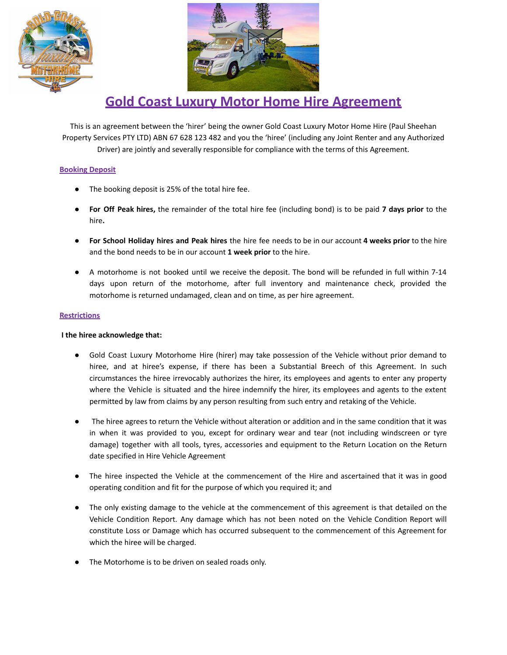



# **Gold Coast Luxury Motor Home Hire Agreement**

This is an agreement between the 'hirer' being the owner Gold Coast Luxury Motor Home Hire (Paul Sheehan Property Services PTY LTD) ABN 67 628 123 482 and you the 'hiree' (including any Joint Renter and any Authorized Driver) are jointly and severally responsible for compliance with the terms of this Agreement.

## **Booking Deposit**

- The booking deposit is 25% of the total hire fee.
- **For Off Peak hires,** the remainder of the total hire fee (including bond) is to be paid **7 days prior** to the hire**.**
- **For School Holiday hires and Peak hires** the hire fee needs to be in our account **4 weeks prior** to the hire and the bond needs to be in our account **1 week prior** to the hire.
- A motorhome is not booked until we receive the deposit. The bond will be refunded in full within 7-14 days upon return of the motorhome, after full inventory and maintenance check, provided the motorhome is returned undamaged, clean and on time, as per hire agreement.

## **Restrictions**

## **I the hiree acknowledge that:**

- Gold Coast Luxury Motorhome Hire (hirer) may take possession of the Vehicle without prior demand to hiree, and at hiree's expense, if there has been a Substantial Breech of this Agreement. In such circumstances the hiree irrevocably authorizes the hirer, its employees and agents to enter any property where the Vehicle is situated and the hiree indemnify the hirer, its employees and agents to the extent permitted by law from claims by any person resulting from such entry and retaking of the Vehicle.
- The hiree agrees to return the Vehicle without alteration or addition and in the same condition that it was in when it was provided to you, except for ordinary wear and tear (not including windscreen or tyre damage) together with all tools, tyres, accessories and equipment to the Return Location on the Return date specified in Hire Vehicle Agreement
- The hiree inspected the Vehicle at the commencement of the Hire and ascertained that it was in good operating condition and fit for the purpose of which you required it; and
- The only existing damage to the vehicle at the commencement of this agreement is that detailed on the Vehicle Condition Report. Any damage which has not been noted on the Vehicle Condition Report will constitute Loss or Damage which has occurred subsequent to the commencement of this Agreement for which the hiree will be charged.
- The Motorhome is to be driven on sealed roads only.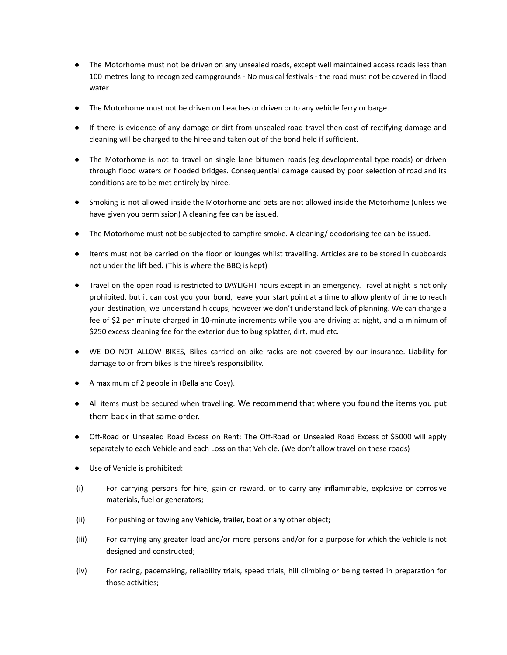- The Motorhome must not be driven on any unsealed roads, except well maintained access roads less than 100 metres long to recognized campgrounds - No musical festivals - the road must not be covered in flood water.
- The Motorhome must not be driven on beaches or driven onto any vehicle ferry or barge.
- If there is evidence of any damage or dirt from unsealed road travel then cost of rectifying damage and cleaning will be charged to the hiree and taken out of the bond held if sufficient.
- The Motorhome is not to travel on single lane bitumen roads (eg developmental type roads) or driven through flood waters or flooded bridges. Consequential damage caused by poor selection of road and its conditions are to be met entirely by hiree.
- Smoking is not allowed inside the Motorhome and pets are not allowed inside the Motorhome (unless we have given you permission) A cleaning fee can be issued.
- The Motorhome must not be subjected to campfire smoke. A cleaning/ deodorising fee can be issued.
- Items must not be carried on the floor or lounges whilst travelling. Articles are to be stored in cupboards not under the lift bed. (This is where the BBQ is kept)
- Travel on the open road is restricted to DAYLIGHT hours except in an emergency. Travel at night is not only prohibited, but it can cost you your bond, leave your start point at a time to allow plenty of time to reach your destination, we understand hiccups, however we don't understand lack of planning. We can charge a fee of \$2 per minute charged in 10-minute increments while you are driving at night, and a minimum of \$250 excess cleaning fee for the exterior due to bug splatter, dirt, mud etc.
- WE DO NOT ALLOW BIKES, Bikes carried on bike racks are not covered by our insurance. Liability for damage to or from bikes is the hiree's responsibility.
- A maximum of 2 people in (Bella and Cosy).
- All items must be secured when travelling. We recommend that where you found the items you put them back in that same order.
- Off-Road or Unsealed Road Excess on Rent: The Off-Road or Unsealed Road Excess of \$5000 will apply separately to each Vehicle and each Loss on that Vehicle. (We don't allow travel on these roads)
- Use of Vehicle is prohibited:
- (i) For carrying persons for hire, gain or reward, or to carry any inflammable, explosive or corrosive materials, fuel or generators;
- (ii) For pushing or towing any Vehicle, trailer, boat or any other object;
- (iii) For carrying any greater load and/or more persons and/or for a purpose for which the Vehicle is not designed and constructed;
- (iv) For racing, pacemaking, reliability trials, speed trials, hill climbing or being tested in preparation for those activities;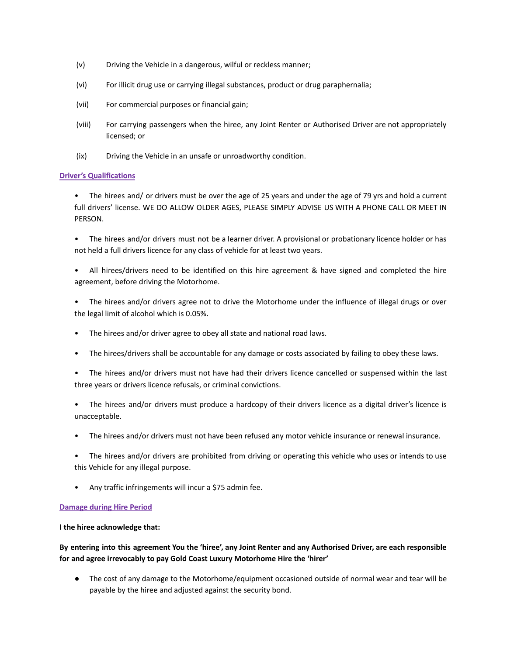- (v) Driving the Vehicle in a dangerous, wilful or reckless manner;
- (vi) For illicit drug use or carrying illegal substances, product or drug paraphernalia;
- (vii) For commercial purposes or financial gain;
- (viii) For carrying passengers when the hiree, any Joint Renter or Authorised Driver are not appropriately licensed; or
- (ix) Driving the Vehicle in an unsafe or unroadworthy condition.

## **Driver's Qualifications**

• The hirees and/ or drivers must be over the age of 25 years and under the age of 79 yrs and hold a current full drivers' license. WE DO ALLOW OLDER AGES, PLEASE SIMPLY ADVISE US WITH A PHONE CALL OR MEET IN PERSON.

• The hirees and/or drivers must not be a learner driver. A provisional or probationary licence holder or has not held a full drivers licence for any class of vehicle for at least two years.

- All hirees/drivers need to be identified on this hire agreement & have signed and completed the hire agreement, before driving the Motorhome.
- The hirees and/or drivers agree not to drive the Motorhome under the influence of illegal drugs or over the legal limit of alcohol which is 0.05%.
- The hirees and/or driver agree to obey all state and national road laws.
- The hirees/drivers shall be accountable for any damage or costs associated by failing to obey these laws.
- The hirees and/or drivers must not have had their drivers licence cancelled or suspensed within the last three years or drivers licence refusals, or criminal convictions.
- The hirees and/or drivers must produce a hardcopy of their drivers licence as a digital driver's licence is unacceptable.
- The hirees and/or drivers must not have been refused any motor vehicle insurance or renewal insurance.
- The hirees and/or drivers are prohibited from driving or operating this vehicle who uses or intends to use this Vehicle for any illegal purpose.
- Any traffic infringements will incur a \$75 admin fee.

## **Damage during Hire Period**

## **I the hiree acknowledge that:**

## By entering into this agreement You the 'hiree', any Joint Renter and any Authorised Driver, are each responsible **for and agree irrevocably to pay Gold Coast Luxury Motorhome Hire the 'hirer'**

● The cost of any damage to the Motorhome/equipment occasioned outside of normal wear and tear will be payable by the hiree and adjusted against the security bond.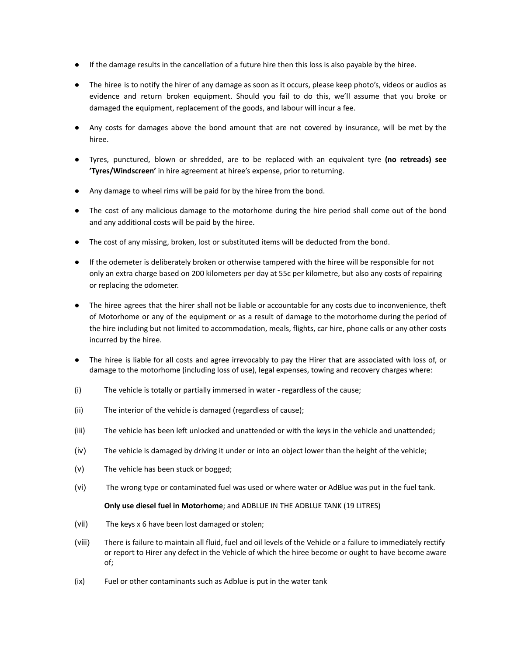- If the damage results in the cancellation of a future hire then this loss is also payable by the hiree.
- The hiree is to notify the hirer of any damage as soon as it occurs, please keep photo's, videos or audios as evidence and return broken equipment. Should you fail to do this, we'll assume that you broke or damaged the equipment, replacement of the goods, and labour will incur a fee.
- Any costs for damages above the bond amount that are not covered by insurance, will be met by the hiree.
- Tyres, punctured, blown or shredded, are to be replaced with an equivalent tyre **(no retreads) see 'Tyres/Windscreen'** in hire agreement at hiree's expense, prior to returning.
- Any damage to wheel rims will be paid for by the hiree from the bond.
- The cost of any malicious damage to the motorhome during the hire period shall come out of the bond and any additional costs will be paid by the hiree.
- The cost of any missing, broken, lost or substituted items will be deducted from the bond.
- If the odemeter is deliberately broken or otherwise tampered with the hiree will be responsible for not only an extra charge based on 200 kilometers per day at 55c per kilometre, but also any costs of repairing or replacing the odometer.
- The hiree agrees that the hirer shall not be liable or accountable for any costs due to inconvenience, theft of Motorhome or any of the equipment or as a result of damage to the motorhome during the period of the hire including but not limited to accommodation, meals, flights, car hire, phone calls or any other costs incurred by the hiree.
- The hiree is liable for all costs and agree irrevocably to pay the Hirer that are associated with loss of, or damage to the motorhome (including loss of use), legal expenses, towing and recovery charges where:
- (i) The vehicle is totally or partially immersed in water regardless of the cause;
- (ii) The interior of the vehicle is damaged (regardless of cause);
- (iii) The vehicle has been left unlocked and unattended or with the keys in the vehicle and unattended;
- (iv) The vehicle is damaged by driving it under or into an object lower than the height of the vehicle;
- (v) The vehicle has been stuck or bogged;
- (vi) The wrong type or contaminated fuel was used or where water or AdBlue was put in the fuel tank.

## **Only use diesel fuel in Motorhome**; and ADBLUE IN THE ADBLUE TANK (19 LITRES)

- (vii) The keys x 6 have been lost damaged or stolen;
- (viii) There is failure to maintain all fluid, fuel and oil levels of the Vehicle or a failure to immediately rectify or report to Hirer any defect in the Vehicle of which the hiree become or ought to have become aware of;
- (ix) Fuel or other contaminants such as Adblue is put in the water tank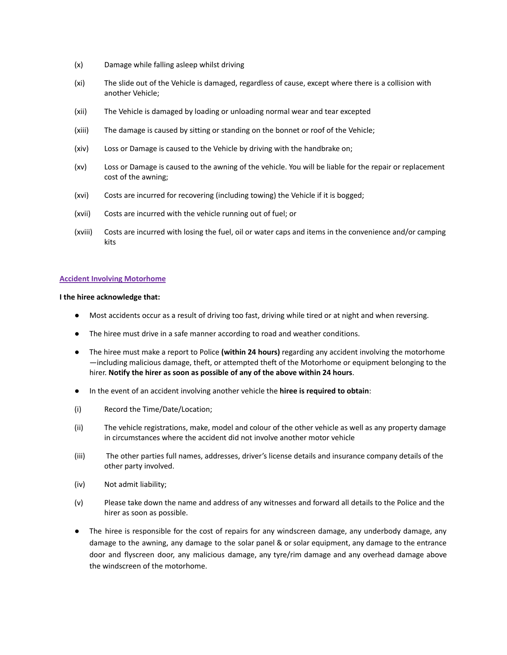- (x) Damage while falling asleep whilst driving
- (xi) The slide out of the Vehicle is damaged, regardless of cause, except where there is a collision with another Vehicle;
- (xii) The Vehicle is damaged by loading or unloading normal wear and tear excepted
- (xiii) The damage is caused by sitting or standing on the bonnet or roof of the Vehicle;
- (xiv) Loss or Damage is caused to the Vehicle by driving with the handbrake on;
- (xv) Loss or Damage is caused to the awning of the vehicle. You will be liable for the repair or replacement cost of the awning;
- (xvi) Costs are incurred for recovering (including towing) the Vehicle if it is bogged;
- (xvii) Costs are incurred with the vehicle running out of fuel; or
- (xviii) Costs are incurred with losing the fuel, oil or water caps and items in the convenience and/or camping kits

#### **Accident Involving Motorhome**

## **I the hiree acknowledge that:**

- Most accidents occur as a result of driving too fast, driving while tired or at night and when reversing.
- The hiree must drive in a safe manner according to road and weather conditions.
- The hiree must make a report to Police **(within 24 hours)** regarding any accident involving the motorhome —including malicious damage, theft, or attempted theft of the Motorhome or equipment belonging to the hirer. **Notify the hirer as soon as possible of any of the above within 24 hours**.
- In the event of an accident involving another vehicle the **hiree is required to obtain**:
- (i) Record the Time/Date/Location;
- (ii) The vehicle registrations, make, model and colour of the other vehicle as well as any property damage in circumstances where the accident did not involve another motor vehicle
- (iii) The other parties full names, addresses, driver's license details and insurance company details of the other party involved.
- (iv) Not admit liability;
- (v) Please take down the name and address of any witnesses and forward all details to the Police and the hirer as soon as possible.
- The hiree is responsible for the cost of repairs for any windscreen damage, any underbody damage, any damage to the awning, any damage to the solar panel & or solar equipment, any damage to the entrance door and flyscreen door, any malicious damage, any tyre/rim damage and any overhead damage above the windscreen of the motorhome.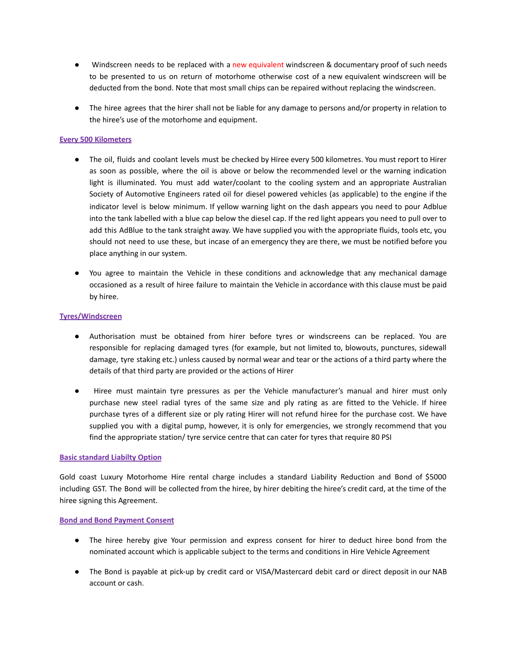- Windscreen needs to be replaced with a new equivalent windscreen & documentary proof of such needs to be presented to us on return of motorhome otherwise cost of a new equivalent windscreen will be deducted from the bond. Note that most small chips can be repaired without replacing the windscreen.
- The hiree agrees that the hirer shall not be liable for any damage to persons and/or property in relation to the hiree's use of the motorhome and equipment.

## **Every 500 Kilometers**

- The oil, fluids and coolant levels must be checked by Hiree every 500 kilometres. You must report to Hirer as soon as possible, where the oil is above or below the recommended level or the warning indication light is illuminated. You must add water/coolant to the cooling system and an appropriate Australian Society of Automotive Engineers rated oil for diesel powered vehicles (as applicable) to the engine if the indicator level is below minimum. If yellow warning light on the dash appears you need to pour Adblue into the tank labelled with a blue cap below the diesel cap. If the red light appears you need to pull over to add this AdBlue to the tank straight away. We have supplied you with the appropriate fluids, tools etc, you should not need to use these, but incase of an emergency they are there, we must be notified before you place anything in our system.
- You agree to maintain the Vehicle in these conditions and acknowledge that any mechanical damage occasioned as a result of hiree failure to maintain the Vehicle in accordance with this clause must be paid by hiree.

## **Tyres/Windscreen**

- Authorisation must be obtained from hirer before tyres or windscreens can be replaced. You are responsible for replacing damaged tyres (for example, but not limited to, blowouts, punctures, sidewall damage, tyre staking etc.) unless caused by normal wear and tear or the actions of a third party where the details of that third party are provided or the actions of Hirer
- Hiree must maintain tyre pressures as per the Vehicle manufacturer's manual and hirer must only purchase new steel radial tyres of the same size and ply rating as are fitted to the Vehicle. If hiree purchase tyres of a different size or ply rating Hirer will not refund hiree for the purchase cost. We have supplied you with a digital pump, however, it is only for emergencies, we strongly recommend that you find the appropriate station/ tyre service centre that can cater for tyres that require 80 PSI

## **Basic standard Liabilty Option**

Gold coast Luxury Motorhome Hire rental charge includes a standard Liability Reduction and Bond of \$5000 including GST. The Bond will be collected from the hiree, by hirer debiting the hiree's credit card, at the time of the hiree signing this Agreement.

## **Bond and Bond Payment Consent**

- The hiree hereby give Your permission and express consent for hirer to deduct hiree bond from the nominated account which is applicable subject to the terms and conditions in Hire Vehicle Agreement
- The Bond is payable at pick-up by credit card or VISA/Mastercard debit card or direct deposit in our NAB account or cash.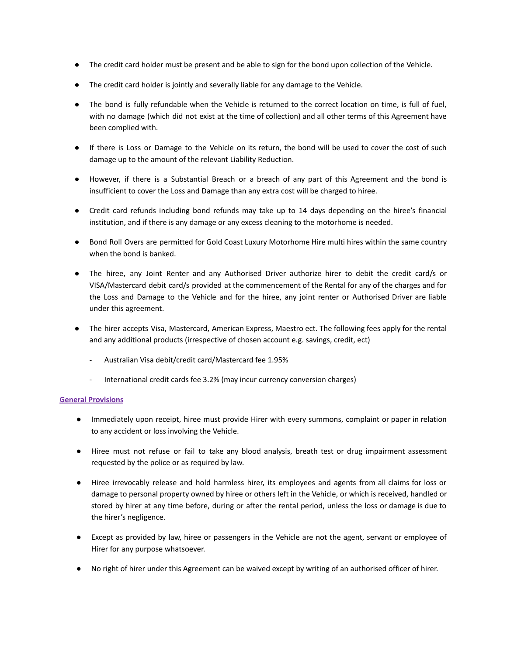- The credit card holder must be present and be able to sign for the bond upon collection of the Vehicle.
- The credit card holder is jointly and severally liable for any damage to the Vehicle.
- The bond is fully refundable when the Vehicle is returned to the correct location on time, is full of fuel, with no damage (which did not exist at the time of collection) and all other terms of this Agreement have been complied with.
- If there is Loss or Damage to the Vehicle on its return, the bond will be used to cover the cost of such damage up to the amount of the relevant Liability Reduction.
- However, if there is a Substantial Breach or a breach of any part of this Agreement and the bond is insufficient to cover the Loss and Damage than any extra cost will be charged to hiree.
- Credit card refunds including bond refunds may take up to 14 days depending on the hiree's financial institution, and if there is any damage or any excess cleaning to the motorhome is needed.
- Bond Roll Overs are permitted for Gold Coast Luxury Motorhome Hire multi hires within the same country when the bond is banked.
- The hiree, any Joint Renter and any Authorised Driver authorize hirer to debit the credit card/s or VISA/Mastercard debit card/s provided at the commencement of the Rental for any of the charges and for the Loss and Damage to the Vehicle and for the hiree, any joint renter or Authorised Driver are liable under this agreement.
- The hirer accepts Visa, Mastercard, American Express, Maestro ect. The following fees apply for the rental and any additional products (irrespective of chosen account e.g. savings, credit, ect)
	- Australian Visa debit/credit card/Mastercard fee 1.95%
	- International credit cards fee 3.2% (may incur currency conversion charges)

## **General Provisions**

- Immediately upon receipt, hiree must provide Hirer with every summons, complaint or paper in relation to any accident or loss involving the Vehicle.
- Hiree must not refuse or fail to take any blood analysis, breath test or drug impairment assessment requested by the police or as required by law.
- Hiree irrevocably release and hold harmless hirer, its employees and agents from all claims for loss or damage to personal property owned by hiree or others left in the Vehicle, or which is received, handled or stored by hirer at any time before, during or after the rental period, unless the loss or damage is due to the hirer's negligence.
- Except as provided by law, hiree or passengers in the Vehicle are not the agent, servant or employee of Hirer for any purpose whatsoever.
- No right of hirer under this Agreement can be waived except by writing of an authorised officer of hirer.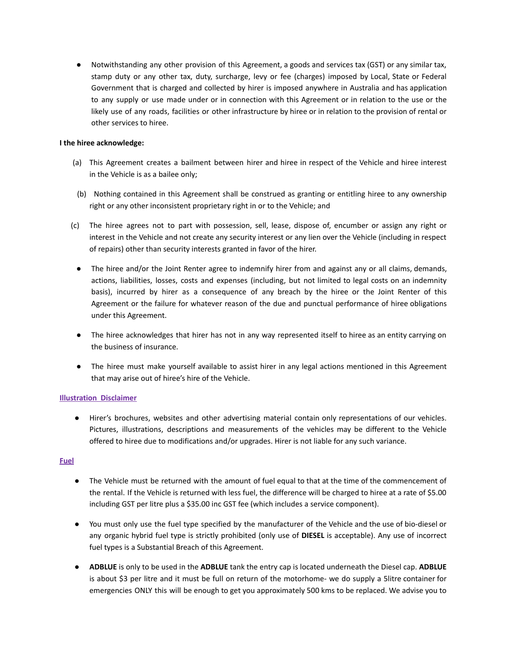● Notwithstanding any other provision of this Agreement, a goods and services tax (GST) or any similar tax, stamp duty or any other tax, duty, surcharge, levy or fee (charges) imposed by Local, State or Federal Government that is charged and collected by hirer is imposed anywhere in Australia and has application to any supply or use made under or in connection with this Agreement or in relation to the use or the likely use of any roads, facilities or other infrastructure by hiree or in relation to the provision of rental or other services to hiree.

## **I the hiree acknowledge:**

- (a) This Agreement creates a bailment between hirer and hiree in respect of the Vehicle and hiree interest in the Vehicle is as a bailee only;
- (b) Nothing contained in this Agreement shall be construed as granting or entitling hiree to any ownership right or any other inconsistent proprietary right in or to the Vehicle; and
- (c) The hiree agrees not to part with possession, sell, lease, dispose of, encumber or assign any right or interest in the Vehicle and not create any security interest or any lien over the Vehicle (including in respect of repairs) other than security interests granted in favor of the hirer.
	- The hiree and/or the Joint Renter agree to indemnify hirer from and against any or all claims, demands, actions, liabilities, losses, costs and expenses (including, but not limited to legal costs on an indemnity basis), incurred by hirer as a consequence of any breach by the hiree or the Joint Renter of this Agreement or the failure for whatever reason of the due and punctual performance of hiree obligations under this Agreement.
	- The hiree acknowledges that hirer has not in any way represented itself to hiree as an entity carrying on the business of insurance.
	- The hiree must make yourself available to assist hirer in any legal actions mentioned in this Agreement that may arise out of hiree's hire of the Vehicle.

## **Illustration Disclaimer**

● Hirer's brochures, websites and other advertising material contain only representations of our vehicles. Pictures, illustrations, descriptions and measurements of the vehicles may be different to the Vehicle offered to hiree due to modifications and/or upgrades. Hirer is not liable for any such variance.

## **Fuel**

- The Vehicle must be returned with the amount of fuel equal to that at the time of the commencement of the rental. If the Vehicle is returned with less fuel, the difference will be charged to hiree at a rate of \$5.00 including GST per litre plus a \$35.00 inc GST fee (which includes a service component).
- You must only use the fuel type specified by the manufacturer of the Vehicle and the use of bio-diesel or any organic hybrid fuel type is strictly prohibited (only use of **DIESEL** is acceptable). Any use of incorrect fuel types is a Substantial Breach of this Agreement.
- **ADBLUE** is only to be used in the **ADBLUE** tank the entry cap is located underneath the Diesel cap. **ADBLUE** is about \$3 per litre and it must be full on return of the motorhome- we do supply a 5litre container for emergencies ONLY this will be enough to get you approximately 500 kms to be replaced. We advise you to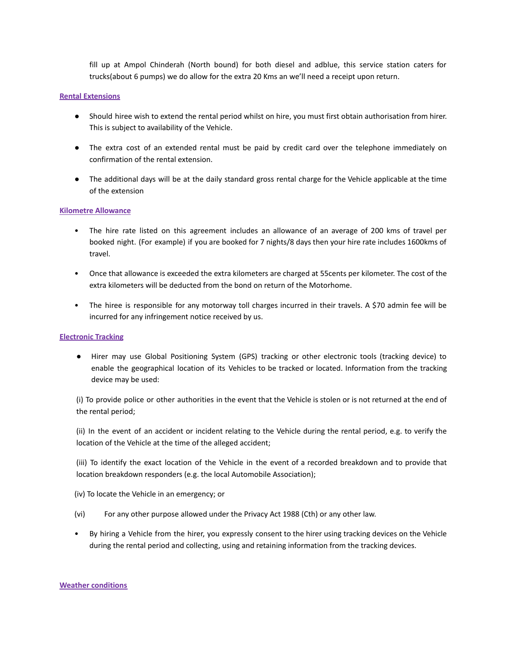fill up at Ampol Chinderah (North bound) for both diesel and adblue, this service station caters for trucks(about 6 pumps) we do allow for the extra 20 Kms an we'll need a receipt upon return.

#### **Rental Extensions**

- Should hiree wish to extend the rental period whilst on hire, you must first obtain authorisation from hirer. This is subject to availability of the Vehicle.
- The extra cost of an extended rental must be paid by credit card over the telephone immediately on confirmation of the rental extension.
- The additional days will be at the daily standard gross rental charge for the Vehicle applicable at the time of the extension

## **Kilometre Allowance**

- The hire rate listed on this agreement includes an allowance of an average of 200 kms of travel per booked night. (For example) if you are booked for 7 nights/8 days then your hire rate includes 1600kms of travel.
- Once that allowance is exceeded the extra kilometers are charged at 55cents per kilometer. The cost of the extra kilometers will be deducted from the bond on return of the Motorhome.
- The hiree is responsible for any motorway toll charges incurred in their travels. A \$70 admin fee will be incurred for any infringement notice received by us.

## **Electronic Tracking**

● Hirer may use Global Positioning System (GPS) tracking or other electronic tools (tracking device) to enable the geographical location of its Vehicles to be tracked or located. Information from the tracking device may be used:

(i) To provide police or other authorities in the event that the Vehicle is stolen or is not returned at the end of the rental period;

(ii) In the event of an accident or incident relating to the Vehicle during the rental period, e.g. to verify the location of the Vehicle at the time of the alleged accident;

(iii) To identify the exact location of the Vehicle in the event of a recorded breakdown and to provide that location breakdown responders (e.g. the local Automobile Association);

(iv) To locate the Vehicle in an emergency; or

- (vi) For any other purpose allowed under the Privacy Act 1988 (Cth) or any other law.
- By hiring a Vehicle from the hirer, you expressly consent to the hirer using tracking devices on the Vehicle during the rental period and collecting, using and retaining information from the tracking devices.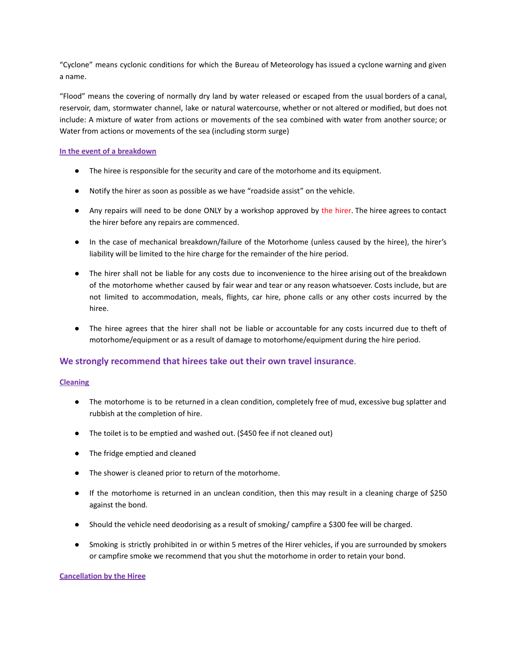"Cyclone" means cyclonic conditions for which the Bureau of Meteorology has issued a cyclone warning and given a name.

"Flood" means the covering of normally dry land by water released or escaped from the usual borders of a canal, reservoir, dam, stormwater channel, lake or natural watercourse, whether or not altered or modified, but does not include: A mixture of water from actions or movements of the sea combined with water from another source; or Water from actions or movements of the sea (including storm surge)

## **In the event of a breakdown**

- The hiree is responsible for the security and care of the motorhome and its equipment.
- Notify the hirer as soon as possible as we have "roadside assist" on the vehicle.
- Any repairs will need to be done ONLY by a workshop approved by the hirer. The hiree agrees to contact the hirer before any repairs are commenced.
- In the case of mechanical breakdown/failure of the Motorhome (unless caused by the hiree), the hirer's liability will be limited to the hire charge for the remainder of the hire period.
- The hirer shall not be liable for any costs due to inconvenience to the hiree arising out of the breakdown of the motorhome whether caused by fair wear and tear or any reason whatsoever. Costs include, but are not limited to accommodation, meals, flights, car hire, phone calls or any other costs incurred by the hiree.
- The hiree agrees that the hirer shall not be liable or accountable for any costs incurred due to theft of motorhome/equipment or as a result of damage to motorhome/equipment during the hire period.

## **We strongly recommend that hirees take out their own travel insurance**.

## **Cleaning**

- The motorhome is to be returned in a clean condition, completely free of mud, excessive bug splatter and rubbish at the completion of hire.
- The toilet is to be emptied and washed out. (\$450 fee if not cleaned out)
- The fridge emptied and cleaned
- The shower is cleaned prior to return of the motorhome.
- If the motorhome is returned in an unclean condition, then this may result in a cleaning charge of \$250 against the bond.
- Should the vehicle need deodorising as a result of smoking/ campfire a \$300 fee will be charged.
- Smoking is strictly prohibited in or within 5 metres of the Hirer vehicles, if you are surrounded by smokers or campfire smoke we recommend that you shut the motorhome in order to retain your bond.

## **Cancellation by the Hiree**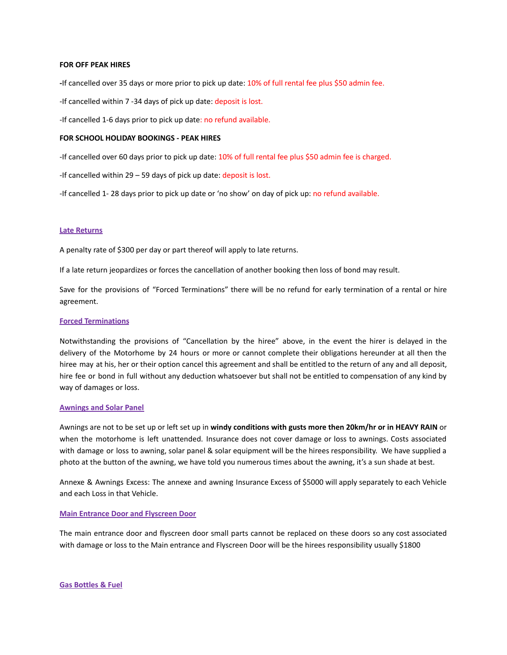#### **FOR OFF PEAK HIRES**

**-**If cancelled over 35 days or more prior to pick up date: 10% of full rental fee plus \$50 admin fee.

-If cancelled within 7 -34 days of pick up date: deposit is lost.

-If cancelled 1-6 days prior to pick up date: no refund available.

## **FOR SCHOOL HOLIDAY BOOKINGS - PEAK HIRES**

-If cancelled over 60 days prior to pick up date: 10% of full rental fee plus \$50 admin fee is charged.

-If cancelled within 29 – 59 days of pick up date: deposit is lost.

-If cancelled 1-28 days prior to pick up date or 'no show' on day of pick up: no refund available.

#### **Late Returns**

A penalty rate of \$300 per day or part thereof will apply to late returns.

If a late return jeopardizes or forces the cancellation of another booking then loss of bond may result.

Save for the provisions of "Forced Terminations" there will be no refund for early termination of a rental or hire agreement.

## **Forced Terminations**

Notwithstanding the provisions of "Cancellation by the hiree" above, in the event the hirer is delayed in the delivery of the Motorhome by 24 hours or more or cannot complete their obligations hereunder at all then the hiree may at his, her or their option cancel this agreement and shall be entitled to the return of any and all deposit, hire fee or bond in full without any deduction whatsoever but shall not be entitled to compensation of any kind by way of damages or loss.

#### **Awnings and Solar Panel**

Awnings are not to be set up or left set up in **windy conditions with gusts more then 20km/hr or in HEAVY RAIN** or when the motorhome is left unattended. Insurance does not cover damage or loss to awnings. Costs associated with damage or loss to awning, solar panel & solar equipment will be the hirees responsibility. We have supplied a photo at the button of the awning, we have told you numerous times about the awning, it's a sun shade at best.

Annexe & Awnings Excess: The annexe and awning Insurance Excess of \$5000 will apply separately to each Vehicle and each Loss in that Vehicle.

#### **Main Entrance Door and Flyscreen Door**

The main entrance door and flyscreen door small parts cannot be replaced on these doors so any cost associated with damage or loss to the Main entrance and Flyscreen Door will be the hirees responsibility usually \$1800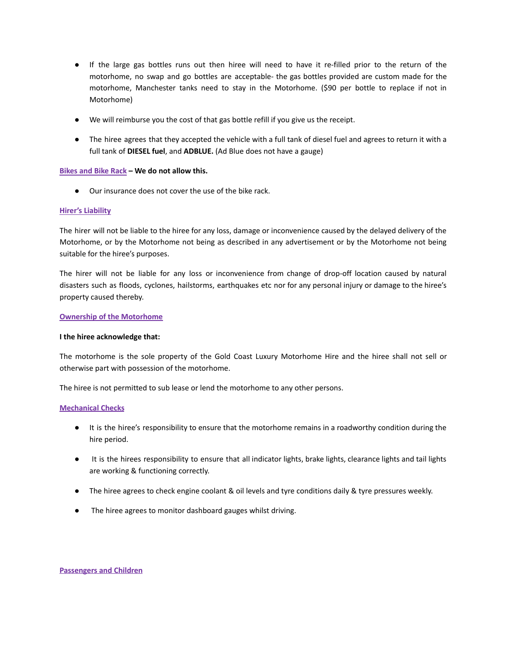- If the large gas bottles runs out then hiree will need to have it re-filled prior to the return of the motorhome, no swap and go bottles are acceptable- the gas bottles provided are custom made for the motorhome, Manchester tanks need to stay in the Motorhome. (\$90 per bottle to replace if not in Motorhome)
- We will reimburse you the cost of that gas bottle refill if you give us the receipt.
- The hiree agrees that they accepted the vehicle with a full tank of diesel fuel and agrees to return it with a full tank of **DIESEL fuel**, and **ADBLUE.** (Ad Blue does not have a gauge)

## **Bikes and Bike Rack – We do not allow this.**

● Our insurance does not cover the use of the bike rack.

## **Hirer's Liability**

The hirer will not be liable to the hiree for any loss, damage or inconvenience caused by the delayed delivery of the Motorhome, or by the Motorhome not being as described in any advertisement or by the Motorhome not being suitable for the hiree's purposes.

The hirer will not be liable for any loss or inconvenience from change of drop-off location caused by natural disasters such as floods, cyclones, hailstorms, earthquakes etc nor for any personal injury or damage to the hiree's property caused thereby.

## **Ownership of the Motorhome**

## **I the hiree acknowledge that:**

The motorhome is the sole property of the Gold Coast Luxury Motorhome Hire and the hiree shall not sell or otherwise part with possession of the motorhome.

The hiree is not permitted to sub lease or lend the motorhome to any other persons.

## **Mechanical Checks**

- It is the hiree's responsibility to ensure that the motorhome remains in a roadworthy condition during the hire period.
- It is the hirees responsibility to ensure that all indicator lights, brake lights, clearance lights and tail lights are working & functioning correctly.
- The hiree agrees to check engine coolant & oil levels and tyre conditions daily & tyre pressures weekly.
- The hiree agrees to monitor dashboard gauges whilst driving.

#### **Passengers and Children**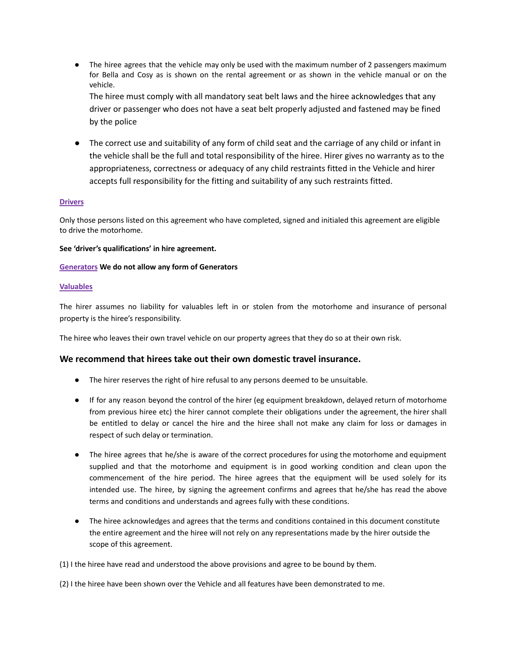• The hiree agrees that the vehicle may only be used with the maximum number of 2 passengers maximum for Bella and Cosy as is shown on the rental agreement or as shown in the vehicle manual or on the vehicle.

The hiree must comply with all mandatory seat belt laws and the hiree acknowledges that any driver or passenger who does not have a seat belt properly adjusted and fastened may be fined by the police

● The correct use and suitability of any form of child seat and the carriage of any child or infant in the vehicle shall be the full and total responsibility of the hiree. Hirer gives no warranty as to the appropriateness, correctness or adequacy of any child restraints fitted in the Vehicle and hirer accepts full responsibility for the fitting and suitability of any such restraints fitted.

## **Drivers**

Only those persons listed on this agreement who have completed, signed and initialed this agreement are eligible to drive the motorhome.

## **See 'driver's qualifications' in hire agreement.**

## **Generators We do not allow any form of Generators**

## **Valuables**

The hirer assumes no liability for valuables left in or stolen from the motorhome and insurance of personal property is the hiree's responsibility.

The hiree who leaves their own travel vehicle on our property agrees that they do so at their own risk.

## **We recommend that hirees take out their own domestic travel insurance.**

- The hirer reserves the right of hire refusal to any persons deemed to be unsuitable.
- If for any reason beyond the control of the hirer (eg equipment breakdown, delayed return of motorhome from previous hiree etc) the hirer cannot complete their obligations under the agreement, the hirer shall be entitled to delay or cancel the hire and the hiree shall not make any claim for loss or damages in respect of such delay or termination.
- The hiree agrees that he/she is aware of the correct procedures for using the motorhome and equipment supplied and that the motorhome and equipment is in good working condition and clean upon the commencement of the hire period. The hiree agrees that the equipment will be used solely for its intended use. The hiree, by signing the agreement confirms and agrees that he/she has read the above terms and conditions and understands and agrees fully with these conditions.
- The hiree acknowledges and agrees that the terms and conditions contained in this document constitute the entire agreement and the hiree will not rely on any representations made by the hirer outside the scope of this agreement.

(1) I the hiree have read and understood the above provisions and agree to be bound by them.

(2) I the hiree have been shown over the Vehicle and all features have been demonstrated to me.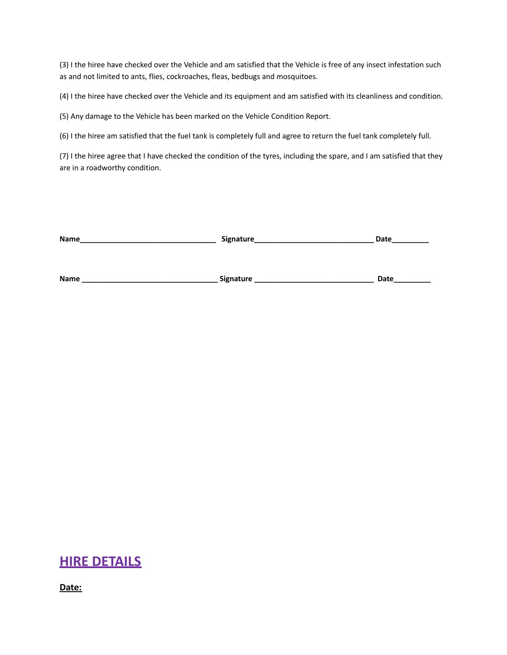(3) I the hiree have checked over the Vehicle and am satisfied that the Vehicle is free of any insect infestation such as and not limited to ants, flies, cockroaches, fleas, bedbugs and mosquitoes.

(4) I the hiree have checked over the Vehicle and its equipment and am satisfied with its cleanliness and condition.

(5) Any damage to the Vehicle has been marked on the Vehicle Condition Report.

(6) I the hiree am satisfied that the fuel tank is completely full and agree to return the fuel tank completely full.

(7) I the hiree agree that I have checked the condition of the tyres, including the spare, and I am satisfied that they are in a roadworthy condition.

| Name | Signature_ | Date |
|------|------------|------|
|      |            |      |
|      |            |      |
| Name | Signature  | Date |

## **HIRE DETAILS**

**Date:**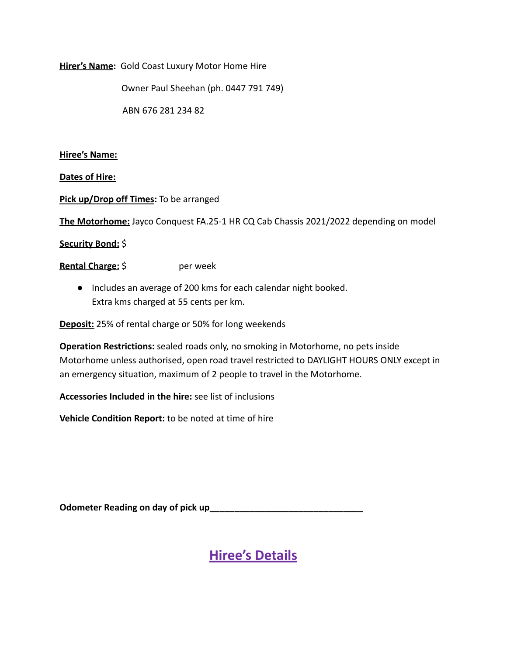## **Hirer's Name:** Gold Coast Luxury Motor Home Hire

Owner Paul Sheehan (ph. 0447 791 749)

ABN 676 281 234 82

## **Hiree's Name:**

**Dates of Hire:**

**Pick up/Drop off Times:** To be arranged

**The Motorhome:** Jayco Conquest FA.25-1 HR CQ Cab Chassis 2021/2022 depending on model

**Security Bond:** \$

**Rental Charge:**  $\oint$  **per week** 

● Includes an average of 200 kms for each calendar night booked. Extra kms charged at 55 cents per km.

**Deposit:** 25% of rental charge or 50% for long weekends

**Operation Restrictions:** sealed roads only, no smoking in Motorhome, no pets inside Motorhome unless authorised, open road travel restricted to DAYLIGHT HOURS ONLY except in an emergency situation, maximum of 2 people to travel in the Motorhome.

**Accessories Included in the hire:** see list of inclusions

**Vehicle Condition Report:** to be noted at time of hire

Odometer Reading on day of pick up<br>
and the summan set of pick up and the summan set of the set of pick up and the set of the set of the set of the set of the set of the set of the set of the set of the set of the set of t

**Hiree's Details**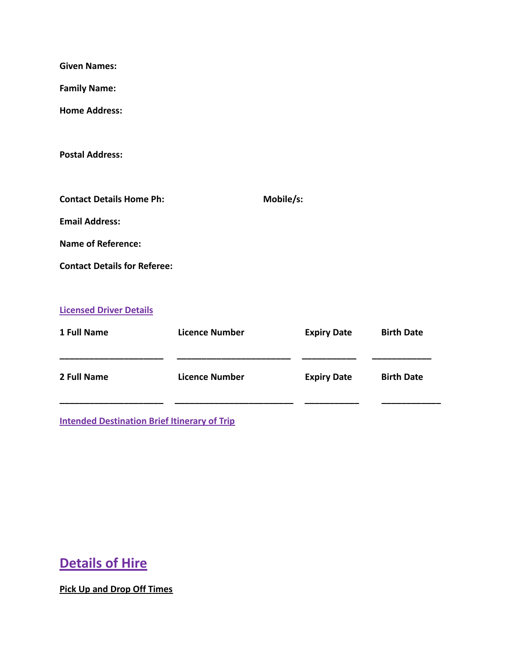| <b>Given Names:</b>                                 |                       |           |                    |                   |
|-----------------------------------------------------|-----------------------|-----------|--------------------|-------------------|
| <b>Family Name:</b>                                 |                       |           |                    |                   |
| <b>Home Address:</b>                                |                       |           |                    |                   |
| <b>Postal Address:</b>                              |                       |           |                    |                   |
| <b>Contact Details Home Ph:</b>                     |                       | Mobile/s: |                    |                   |
| <b>Email Address:</b>                               |                       |           |                    |                   |
| <b>Name of Reference:</b>                           |                       |           |                    |                   |
| <b>Contact Details for Referee:</b>                 |                       |           |                    |                   |
| <b>Licensed Driver Details</b>                      |                       |           |                    |                   |
| 1 Full Name                                         | <b>Licence Number</b> |           | <b>Expiry Date</b> | <b>Birth Date</b> |
| 2 Full Name                                         | <b>Licence Number</b> |           | <b>Expiry Date</b> | <b>Birth Date</b> |
| <b>Intended Destination Brief Itinerary of Trip</b> |                       |           |                    |                   |

# **Details of Hire**

**Pick Up and Drop Off Times**